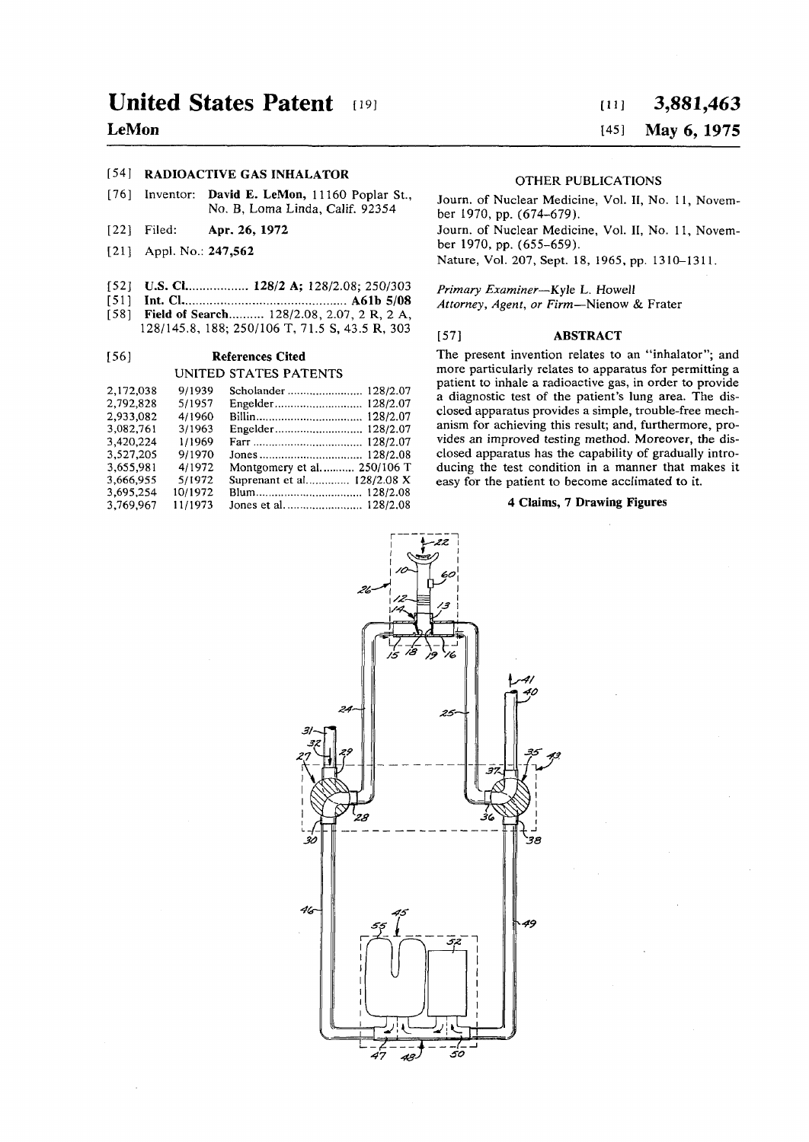# **LeMon**

## [54] **RADIOACTIVE GAS INHALATOR**

[76] Inventor: **David** E. **LeMon,** 11160 Poplar St., No. B, Loma Linda, Calif. 92354

- [22] Filed: **Apr. 26, 1972**
- [21] Appl. No.: 247,562
- [52] **U.S. Cl................. 128/2 A;** 128/2.08; 250/303
- [51] **Int. CI A61b 5/08**
- [58] **Field of Search** 128/2.08, 2.07, 2 **R,** 2 **A,**  128/145.8, 188; 250/106 **T,** 71.5 **S,** 43.5 **R,** 303

### **[56] References Cited UNITED STATES PATENTS**

| 2,172,038<br>9/1939<br>2.792.828<br>5/1957<br>2.933.082<br>4/1960<br>3.082.761<br>3/1963<br>3.420.224<br>1/1969<br>3.527.205<br>9/1970<br>3.655.981<br>4/1972<br>3.666.955<br>5/1972<br>3.695.254<br>10/1972<br>3.769.967<br>11/1973 | Montgomery et al 250/106 T<br>Suprenant et al 128/2.08 X |
|--------------------------------------------------------------------------------------------------------------------------------------------------------------------------------------------------------------------------------------|----------------------------------------------------------|
|--------------------------------------------------------------------------------------------------------------------------------------------------------------------------------------------------------------------------------------|----------------------------------------------------------|

# **[in 3,881,46 3**

## **[45] May 6, 1975**

#### OTHER PUBLICATIONS

Journ. of Nuclear Medicine, Vol. II, No. 11, November 1970, pp. (674-679).

Journ. of Nuclear Medicine, Vol. II, No. 11, November 1970, pp. (655-659).

Nature, Vol. 207, Sept. 18, 1965, pp. 1310-1311.

*Primary Examiner*—Kyle L. Howell

*Attorney, Agent, or Firm*—Nienow & Frater

#### [57] ABSTRACT

The present invention relates to an "inhalator"; and more particularly relates to apparatus for permitting a patient to inhale a radioactive gas, in order to provide a diagnostic test of the patient's lung area. The disclosed apparatus provides a simple, trouble-free mechanism for achieving this result; and, furthermore, provides an improved testing method. Moreover, the disclosed apparatus has the capability of gradually introducing the test condition in a manner that makes it easy for the patient to become acclimated to it.

### **4 Claims, 7 Drawing Figures**

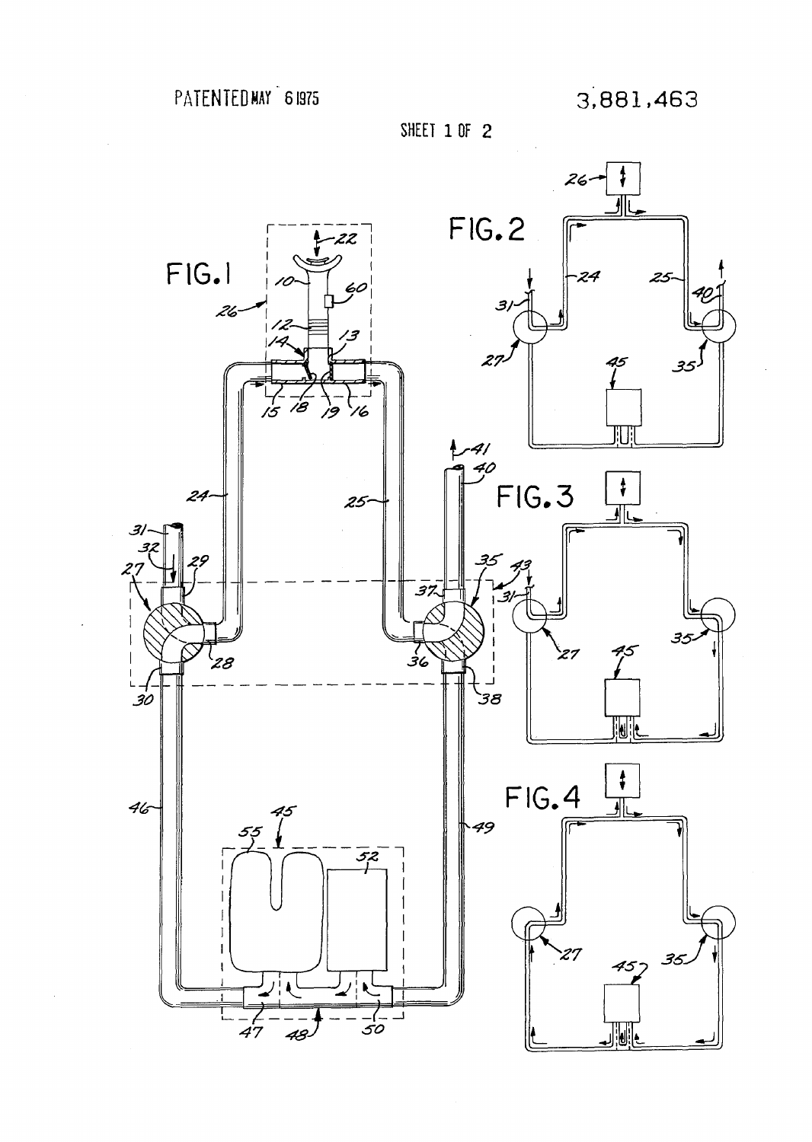



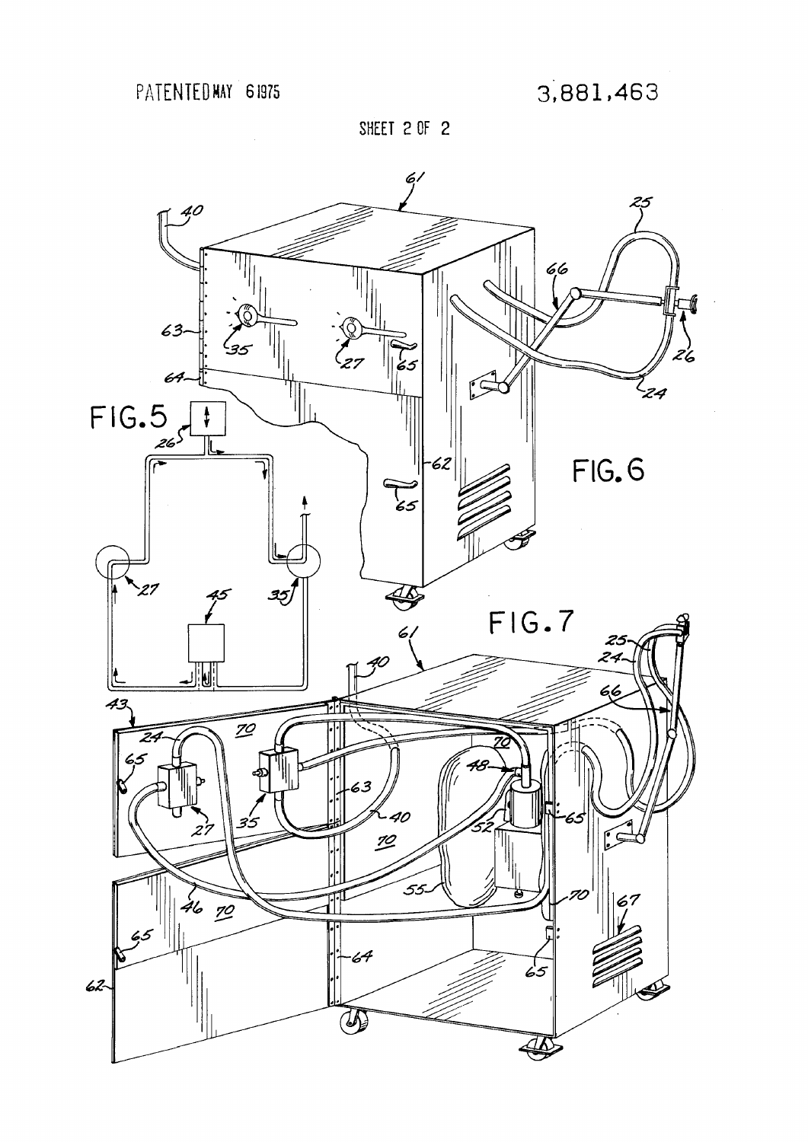**SHEET EOF 2** 

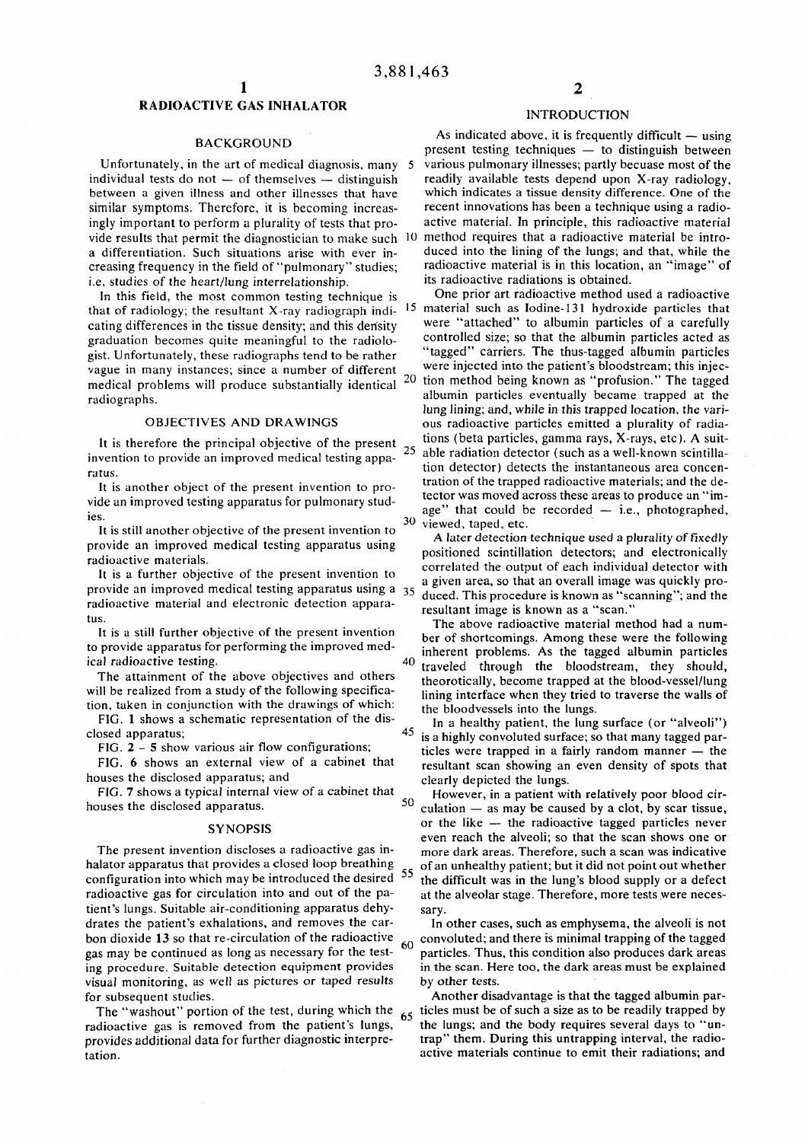### **RADIOACTIVE GAS INHALATOR**

#### BACKGROUND

Unfortunately, in the art of medical diagnosis, many individual tests do not — of themselves — distinguish between a given illness and other illnesses that have similar symptoms. Therefore, it is becoming increasingly important to perform a plurality of tests that proa differentiation. Such situations arise with ever increasing frequency in the field of "pulmonary" studies; i.e, studies of the heart/lung interrelationship.

In this field, the most common testing technique is that of radiology; the resultant X-ray radiograph indicating differences in the tissue density; and this density graduation becomes quite meaningful to the radiologist. Unfortunately, these radiographs tend to be rather vague in many instances; since a number of different medical problems will produce substantially identical <sup>20</sup> radiographs.

#### OBJECTIVES AND DRAWINGS

It is therefore the principal objective of the present  $25$ invention to provide an improved medical testing apparatus.

It is another object of the present invention to provide an improved testing apparatus for pulmonary studies.

It is still another objective of the present invention to provide an improved medical testing apparatus using radioactive materials.

It is a further objective of the present invention to provide an improved medical testing apparatus using a 35 radioactive material and electronic detection apparatus.

It is a still further objective of the present invention to provide apparatus for performing the improved medical radioactive testing.

The attainment of the above objectives and others will be realized from a study of the following specification, taken in conjunction with the drawings of which:

FIG. 1 shows a schematic representation of the disclosed apparatus;

FIG.  $2 - 5$  show various air flow configurations;

FIG. 6 shows an external view of a cabinet that houses the disclosed apparatus; and

FIG. 7 shows a typical internal view of a cabinet that houses the disclosed apparatus.

#### **SYNOPSIS**

The present invention discloses a radioactive gas inhalator apparatus that provides a closed loop breathing configuration into which may be introduced the desired 55 radioactive gas for circulation into and out of the patient's lungs. Suitable air-conditioning apparatus dehydrates the patient's exhalations, and removes the carbon dioxide 13 so that re-circulation of the radioactive gas may be continued as long as necessary for the testing procedure. Suitable detection equipment provides visual monitoring, as well as pictures or taped results for subsequent studies.

The "washout" portion of the test, during which the  $65$ radioactive gas is removed from the patient's lungs, provides additional data for further diagnostic interpretation.

# **2**

### INTRODUCTION

vide results that permit the diagnostician to make such 10 method requires that a radioactive material be intro-As indicated above, it is frequently difficult  $-$  using present testing techniques — to distinguish between 5 various pulmonary illnesses; partly becuase most of the readily available tests depend upon X-ray radiology, which indicates a tissue density difference. One of the recent innovations has been a technique using a radioactive material. In principle, this radioactive material duced into the lining of the lungs; and that, while the radioactive material is in this location, an "image" of its radioactive radiations is obtained.

One prior art radioactive method used a radioactive 15 material such as Iodine-131 hydroxide particles that were "attached" to albumin particles of a carefully controlled size; so that the albumin particles acted as "tagged" carriers. The thus-tagged albumin particles were injected into the patient's bloodstream; this injection method being known as "profusion." The tagged albumin particles eventually became trapped at the lung lining; and, while in this trapped location, the various radioactive particles emitted a plurality of radiations (beta particles, gamma rays, X-rays, etc). A suitable radiation detector (such as a well-known scintillation detector) detects the instantaneous area concentration of the trapped radioactive materials; and the detector was moved across these areas to produce an "image" that could be recorded — i.e., photographed, 30 viewed, taped, etc.

A later detection technique used a plurality of fixedly positioned scintillation detectors; and electronically correlated the output of each individual detector with a given area, so that an overall image was quickly produced. This procedure is known as "scanning"; and the resultant image is known as a "scan. "

The above radioactive material method had a number of shortcomings. Among these were the following inherent problems. As the tagged albumin particles 40 traveled through the bloodstream, they should, theorotically, become trapped at the blood-vessel/lung lining interface when they tried to traverse the walls of the bloodvessels into the lungs.

In a healthy patient, the lung surface (or "alveoli") 45 is a highly convoluted surface; so that many tagged particles were trapped in a fairly random manner — the resultant scan showing an even density of spots that clearly depicted the lungs.

However, in a patient with relatively poor blood cir-50 culation — as may be caused by a clot, by scar tissue, or the like — the radioactive tagged particles never even reach the alveoli; so that the scan shows one or more dark areas. Therefore, such a scan was indicative of an unhealthy patient; but it did not point out whether the difficult was in the lung's blood supply or a defect at the alveolar stage. Therefore, more tests were necessary.

In other cases, such as emphysema, the alveoli is not  $60$  convoluted; and there is minimal trapping of the tagged particles. Thus, this condition also produces dark areas in the scan. Here too, the dark areas must be explained by other tests.

Another disadvantage is that the tagged albumin particles must be of such a size as to be readily trapped by the lungs; and the body requires several days to "untrap" them. During this untrapping interval, the radioactive materials continue to emit their radiations; and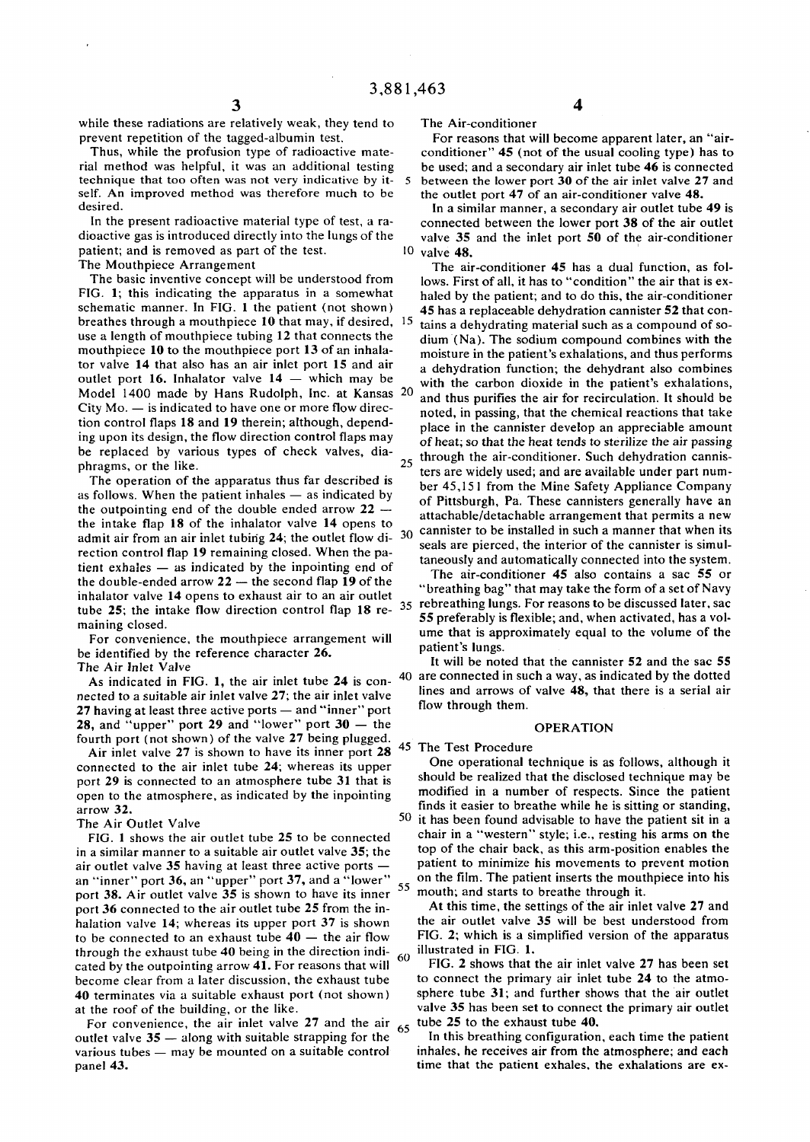while these radiations are relatively weak, they tend to prevent repetition of the tagged-albumin test.

Thus, while the profusion type of radioactive material method was helpful, it was an additional testing technique that too often was not very indicative by it- 5 self. An improved method was therefore much to be desired.

In the present radioactive material type of test, a radioactive gas is introduced directly into the lungs of the patient; and is removed as part of the test. The Mouthpiece Arrangement

The basic inventive concept will be understood from FIG. 1; this indicating the apparatus in a somewhat schematic manner. In FIG. 1 the patient (not shown) breathes through a mouthpiece 10 that may, if desired, 15 use a length of mouthpiece tubing 12 that connects the mouthpiece  $10$  to the mouthpiece port 13 of an inhalator valve 14 that also has an air inlet port 15 and air outlet port 16. Inhalator valve 14 — which may be Model 1400 made by Hans Rudolph, Inc. at Kansas 20  $City Mo.$  — is indicated to have one or more flow direction control flaps 18 and 19 therein; although, depending upon its design, the flow direction control flaps may be replaced by various types of check valves, diaphragms, or the like. 25

The operation of the apparatus thus far described is as follows. When the patient inhales — as indicated by the outpointing end of the double ended arrow  $22$ the intake flap 18 of the inhalator valve 14 opens to admit air from an air inlet tubing 24; the outlet flow di-  $30$ rection control flap 19 remaining closed. When the patient exhales — as indicated by the inpointing end of the double-ended arrow 22 — the second flap 19 of the inhalator valve 14 opens to exhaust air to an air outlet tube 25; the intake flow direction control flap  $18$  re-  $35$  rebreathing lungs. For reasons to be discussed later, sac maining closed.

For convenience, the mouthpiece arrangement will be identified by the reference character 26. The Air Inlet Valve

As indicated in FIG. 1, the air inlet tube 24 is con nected to a suitable air inlet valve 27; the air inlet valve 27 having at least three active ports — and "inner " port 28, and "upper" port 29 and "lower" port  $30 -$  the fourth port (not shown) of the valve 27 being plugged.

Air inlet valve 27 is shown to have its inner port 28 connected to the air inlet tube 24; whereas its upper port 29 is connected to an atmosphere tube 31 that is open to the atmosphere, as indicated by the inpointing arrow 32.

### The Air Outlet Valve

FIG. 1 shows the air outlet tube 25 to be connected in a similar manner to a suitable air outlet valve 35; the air outlet valve 35 having at least three active ports an "inner" port 36, an "upper" port  $37$ , and a "lower" port 38. Air outlet valve 35 is shown to have its inner port 36 connected to the air outlet tube 25 from the inhalation valve 14; whereas its upper port 37 is shown to be connected to an exhaust tube  $40 -$  the air flow through the exhaust tube 40 being in the direction indi- $60$ cated by the outpointing arrow 41. For reasons that will become clear from a later discussion, the exhaust tube 40 terminates via a suitable exhaust port (not shown) at the roof of the building, or the like.

For convenience, the air inlet valve 27 and the air  $65$ outlet valve 35 — along with suitable strapping for the various tubes — may be mounted on a suitable control panel 43.

The Air-conditioner

For reasons that will become apparent later, an "airconditioner"  $45$  (not of the usual cooling type) has to be used; and a secondary air inlet tube 46 is connected between the lower port 30 of the air inlet valve 27 and the outlet port 47 of an air-conditioner valve 48.

**4** 

In a similar manner, a secondary air outlet tube 49 is connected between the lower port 38 of the air outlet valve  $35$  and the inlet port  $50$  of the air-conditioner 10 valve 48.

The air-conditioner 45 has a dual function, as follows. First of all, it has to "condition" the air that is exhaled by the patient; and to do this, the air-conditioner 45 has a replaceable dehydration cannister 52 that contains a dehydrating material such as a compound of sodium (Na). The sodium compound combines with the moisture in the patient's exhalations, and thus performs a dehydration function; the dehydrant also combines with the carbon dioxide in the patient's exhalations, and thus purifies the air for recirculation. It should be noted, in passing, that the chemical reactions that take place in the cannister develop an appreciable amount of heat; so that the heat tends to sterilize the air passing through the air-conditioner. Such dehydration cannisters are widely used; and are available under part number 45,15 1 from the Mine Safety Appliance Company of Pittsburgh, Pa. These cannisters generally have an attachable/detachable arrangement that permits a new cannister to be installed in such a manner that when its seals are pierced, the interior of the cannister is simultaneously and automatically connected into the system.

The air-conditioner  $45$  also contains a sac  $55$  or " breathing bag" that may take the form of a set of Navy 55 preferably is flexible; and, when activated, has a volume that is approximately equal to the volume of the patient's lungs.

 $\frac{1}{40}$  are connected in such a way, as indicated by the dotted It will be noted that the cannister 52 and the sac 55 lines and arrows of valve 48, that there is a serial air flow through them.

#### OPERATION

45 The Test Procedure

One operational technique is as follows, although it should be realized that the disclosed technique may be modified in a number of respects. Since the patient finds it easier to breathe while he is sitting or standing, 50 it has been found advisable to have the patient sit in a chair in a "western " style; i.e., resting his arms on the top of the chair back, as this arm-position enables the patient to minimize his movements to prevent motion on the film. The patient inserts the mouthpiece into his mouth; and starts to breathe through it.

At this time, the settings of the air inlet valve 27 and the air outlet valve 35 will be best understood from FIG. 2; which is a simplified version of the apparatus illustrated in FIG. 1.

FIG. 2 shows that the air inlet valve 27 has been set to connect the primary air inlet tube 24 to the atmosphere tube 31; and further shows that the air outlet valve 35 has been set to connect the primary air outlet tube 25 to the exhaust tube 40.

In this breathing configuration, each time the patient inhales, he receives air from the atmosphere; and each time that the patient exhales, the exhalations are ex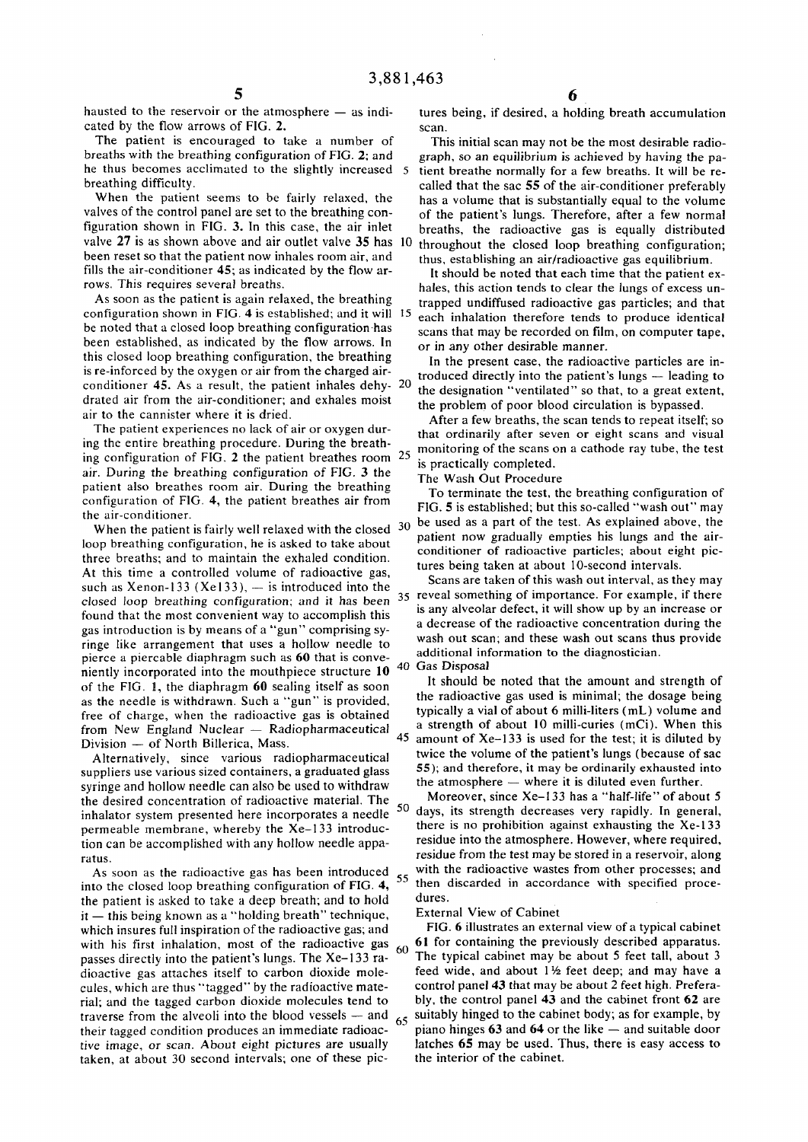hausted to the reservoir or the atmosphere — as indicated by the flow arrows of FIG. 2.

The patient is encouraged to take a number of breaths with the breathing configuration of FIG. 2; and he thus becomes acclimated to the slightly increased 5 breathing difficulty.

When the patient seems to be fairly relaxed, the valves of the control panel are set to the breathing configuration shown in FIG. 3. In this case, the air inlet valve 27 is as shown above and air outlet valve 35 has 10 been reset so that the patient now inhales room air, and fills the air-conditioner 45; as indicated by the flow arrows. This requires several breaths.

As soon as the patient is again relaxed, the breathing configuration shown in FIG. 4 is established; and it will 1 5 be noted that a closed loop breathing configuration has been established, as indicated by the flow arrows. In this closed loop breathing configuration, the breathing is re-inforced by the oxygen or air from the charged airconditioner 45. As a result, the patient inhales dehy- 20 drated air from the air-conditioner; and exhales moist air to the cannister where it is dried.

The patient experiences no lack of air or oxygen during the entire breathing procedure. During the breathing configuration of FIG. 2 the patient breathes room air. During the breathing configuration of FIG. 3 the patient also breathes room air. During the breathing configuration of FIG. 4, the patient breathes air from the air-conditioner.

When the patient is fairly well relaxed with the closed  $30$ loop breathing configuration, he is asked to take about three breaths; and to maintain the exhaled condition. At this time a controlled volume of radioactive gas, such as Xenon-133 (Xe133),  $-$  is introduced into the closed loop breathing configuration; and it has been found that the most convenient way to accomplish this gas introduction is by means of a "gun " comprising syringe like arrangement that uses a hollow needle to pierce a piercable diaphragm such as 60 that is conveniently incorporated into the mouthpiece structure 10 of the FIG. 1, the diaphragm 60 sealing itself as soon as the needle is withdrawn. Such a "gun " is provided, free of charge, when the radioactive gas is obtained from New England Nuclear — Radiopharmaceutical Division — of North Billerica, Mass.

Alternatively, since various radiopharmaceutical suppliers use various sized containers, a graduated glass syringe and hollow needle can also be used to withdraw the desired concentration of radioactive material. The inhalator system presented here incorporates a needle permeable membrane, whereby the Xe-133 introduction can be accomplished with any hollow needle apparatus.

As soon as the radioactive gas has been introduced into the closed loop breathing configuration of FIG. 4, the patient is asked to take a deep breath; and to hold it — this being known as a "holding breath" technique, which insures full inspiration of the radioactive gas; and with his first inhalation, most of the radioactive gas passes directly into the patient's lungs. The Xe-133 radioactive gas attaches itself to carbon dioxide molecules, which are thus "tagged" by the radioactive material; and the tagged carbon dioxide molecules tend to traverse from the alveoli into the blood vessels — and their tagged condition produces an immediate radioactive image, or scan. About eight pictures are usually taken, at about 30 second intervals; one of these pic**6** 

tures being, if desired, a holding breath accumulation scan.

This initial scan may not be the most desirable radiograph, so an equilibrium is achieved by having the patient breathe normally for a few breaths. It will be recalled that the sac 55 of the air-conditioner preferably has a volume that is substantially equal to the volume of the patient's lungs. Therefore, after a few normal breaths, the radioactive gas is equally distributed throughout the closed loop breathing configuration; thus, establishing an air/radioactive gas equilibrium.

It should be noted that each time that the patient exhales, this action tends to clear the lungs of excess untrapped undiffused radioactive gas particles; and that each inhalation therefore tends to produce identical scans that may be recorded on film, on computer tape, or in any other desirable manner.

In the present case, the radioactive particles are introduced directly into the patient's lungs - leading to the designation "ventilated" so that, to a great extent, the problem of poor blood circulation is bypassed.

After a few breaths, the scan tends to repeat itself; so that ordinarily after seven or eight scans and visual monitoring of the scans on a cathode ray tube, the test is practically completed.

The Wash Out Procedure

To terminate the test, the breathing configuration of FIG. 5 is established; but this so-called "wash out " may be used as a part of the test. As explained above, the patient now gradually empties his lungs and the airconditioner of radioactive particles; about eight pictures being taken at about 10-second intervals.

Scans are taken of this wash out interval, as they may 35 reveal something of importance. For example, if there is any alveolar defect, it will show up by an increase or a decrease of the radioactive concentration during the wash out scan; and these wash out scans thus provide additional information to the diagnostician.

40 Gas Disposal

It should be noted that the amount and strength of the radioactive gas used is minimal; the dosage being typically a vial of about 6 milli-liters (mL) volume and a strength of about 10 milli-curies (mCi). When this amount of  $Xe-133$  is used for the test; it is diluted by twice the volume of the patient's lungs (because of sac 55); and therefore, it may be ordinarily exhausted into the atmosphere — where it is diluted even further.

Moreover, since Xe-133 has a "half-life" of about 5 50 days, its strength decreases very rapidly. In general, there is no prohibition against exhausting the Xe-133 residue into the atmosphere. However, where required, residue from the test may be stored in a reservoir, along with the radioactive wastes from other processes; and 55 then discarded in accordance with specified procedures.

#### External View of Cabinet

FIG. 6 illustrates an external view of a typical cabinet 61 for containing the previously described apparatus. 60 The typical cabinet may be about 5 feet tall, about 3 feed wide, and about  $1\frac{1}{2}$  feet deep; and may have a control panel 43 that may be about 2 feet high. Preferably, the control panel 43 and the cabinet front 62 are  $65$  suitably hinged to the cabinet body; as for example, by piano hinges 63 and 64 or the like — and suitable door latches 65 may be used. Thus, there is easy access to the interior of the cabinet.